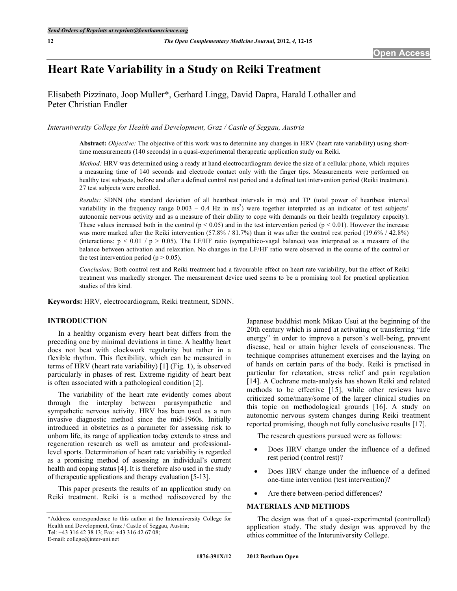# **Heart Rate Variability in a Study on Reiki Treatment**

Elisabeth Pizzinato, Joop Muller\*, Gerhard Lingg, David Dapra, Harald Lothaller and Peter Christian Endler

*Interuniversity College for Health and Development, Graz / Castle of Seggau, Austria*

**Abstract:** *Objective:* The objective of this work was to determine any changes in HRV (heart rate variability) using shorttime measurements (140 seconds) in a quasi-experimental therapeutic application study on Reiki.

*Method:* HRV was determined using a ready at hand electrocardiogram device the size of a cellular phone, which requires a measuring time of 140 seconds and electrode contact only with the finger tips. Measurements were performed on healthy test subjects, before and after a defined control rest period and a defined test intervention period (Reiki treatment). 27 test subjects were enrolled.

*Results:* SDNN (the standard deviation of all heartbeat intervals in ms) and TP (total power of heartbeat interval variability in the frequency range  $0.003 - 0.4$  Hz in ms<sup>2</sup>) were together interpreted as an indicator of test subjects' autonomic nervous activity and as a measure of their ability to cope with demands on their health (regulatory capacity). These values increased both in the control ( $p < 0.05$ ) and in the test intervention period ( $p < 0.01$ ). However the increase was more marked after the Reiki intervention (57.8% / 81.7%) than it was after the control rest period (19.6% / 42.8%) (interactions:  $p < 0.01 / p > 0.05$ ). The LF/HF ratio (sympathico-vagal balance) was interpreted as a measure of the balance between activation and relaxation. No changes in the LF/HF ratio were observed in the course of the control or the test intervention period ( $p > 0.05$ ).

*Conclusion:* Both control rest and Reiki treatment had a favourable effect on heart rate variability, but the effect of Reiki treatment was markedly stronger. The measurement device used seems to be a promising tool for practical application studies of this kind.

**Keywords:** HRV, electrocardiogram, Reiki treatment, SDNN.

# **INTRODUCTION**

In a healthy organism every heart beat differs from the preceding one by minimal deviations in time. A healthy heart does not beat with clockwork regularity but rather in a flexible rhythm. This flexibility, which can be measured in terms of HRV (heart rate variability) [1] (Fig. **1**), is observed particularly in phases of rest. Extreme rigidity of heart beat is often associated with a pathological condition [2].

The variability of the heart rate evidently comes about through the interplay between parasympathetic and sympathetic nervous activity. HRV has been used as a non invasive diagnostic method since the mid-1960s. Initially introduced in obstetrics as a parameter for assessing risk to unborn life, its range of application today extends to stress and regeneration research as well as amateur and professionallevel sports. Determination of heart rate variability is regarded as a promising method of assessing an individual's current health and coping status [4]. It is therefore also used in the study of therapeutic applications and therapy evaluation [5-13].

This paper presents the results of an application study on Reiki treatment. Reiki is a method rediscovered by the

E-mail: college@inter-uni.net

Japanese buddhist monk Mikao Usui at the beginning of the 20th century which is aimed at activating or transferring "life energy" in order to improve a person's well-being, prevent disease, heal or attain higher levels of consciousness. The technique comprises attunement exercises and the laying on of hands on certain parts of the body. Reiki is practised in particular for relaxation, stress relief and pain regulation [14]. A Cochrane meta-analysis has shown Reiki and related methods to be effective [15], while other reviews have criticized some/many/some of the larger clinical studies on this topic on methodological grounds [16]. A study on autonomic nervous system changes during Reiki treatment reported promising, though not fully conclusive results [17].

The research questions pursued were as follows:

- Does HRV change under the influence of a defined rest period (control rest)?
- Does HRV change under the influence of a defined one-time intervention (test intervention)?
- Are there between-period differences?

#### **MATERIALS AND METHODS**

The design was that of a quasi-experimental (controlled) application study. The study design was approved by the ethics committee of the Interuniversity College.

<sup>\*</sup>Address correspondence to this author at the Interuniversity College for Health and Development, Graz / Castle of Seggau, Austria; Tel: +43 316 42 38 13; Fax: +43 316 42 67 08;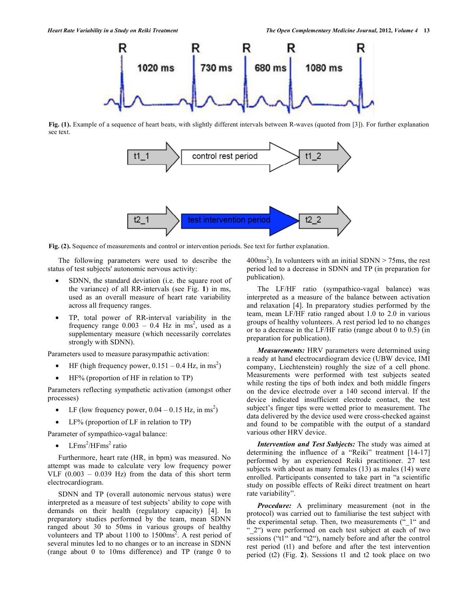

**Fig. (1).** Example of a sequence of heart beats, with slightly different intervals between R-waves (quoted from [3]). For further explanation see text.



**Fig. (2).** Sequence of measurements and control or intervention periods. See text for further explanation.

The following parameters were used to describe the status of test subjects' autonomic nervous activity:

- SDNN, the standard deviation (i.e. the square root of the variance) of all RR-intervals (see Fig. **1**) in ms, used as an overall measure of heart rate variability across all frequency ranges.
- TP, total power of RR-interval variability in the frequency range  $0.003 - 0.4$  Hz in ms<sup>2</sup>, used as a supplementary measure (which necessarily correlates strongly with SDNN).

Parameters used to measure parasympathic activation:

- HF (high frequency power,  $0.151 0.4$  Hz, in ms<sup>2</sup>)
- HF% (proportion of HF in relation to TP)

Parameters reflecting sympathetic activation (amongst other processes)

- LF (low frequency power,  $0.04 0.15$  Hz, in ms<sup>2</sup>)
- LF% (proportion of LF in relation to TP)

Parameter of sympathico-vagal balance:

•  $LFms^2/HFms^2$  ratio

Furthermore, heart rate (HR, in bpm) was measured. No attempt was made to calculate very low frequency power VLF  $(0.003 - 0.039$  Hz) from the data of this short term electrocardiogram.

SDNN and TP (overall autonomic nervous status) were interpreted as a measure of test subjects' ability to cope with demands on their health (regulatory capacity) [4]. In preparatory studies performed by the team, mean SDNN ranged about 30 to 50ms in various groups of healthy volunteers and TP about 1100 to 1500ms<sup>2</sup>. A rest period of several minutes led to no changes or to an increase in SDNN (range about 0 to 10ms difference) and TP (range 0 to

 $400 \text{ms}^2$ ). In volunteers with an initial SDNN > 75ms, the rest period led to a decrease in SDNN and TP (in preparation for publication).

The LF/HF ratio (sympathico-vagal balance) was interpreted as a measure of the balance between activation and relaxation [4]. In preparatory studies performed by the team, mean LF/HF ratio ranged about 1.0 to 2.0 in various groups of healthy volunteers. A rest period led to no changes or to a decrease in the LF/HF ratio (range about 0 to 0.5) (in preparation for publication).

*Measurements:* HRV parameters were determined using a ready at hand electrocardiogram device (UBW device, IMI company, Liechtenstein) roughly the size of a cell phone. Measurements were performed with test subjects seated while resting the tips of both index and both middle fingers on the device electrode over a 140 second interval. If the device indicated insufficient electrode contact, the test subject's finger tips were wetted prior to measurement. The data delivered by the device used were cross-checked against and found to be compatible with the output of a standard various other HRV device.

*Intervention and Test Subjects:* The study was aimed at determining the influence of a "Reiki" treatment [14-17] performed by an experienced Reiki practitioner. 27 test subjects with about as many females (13) as males (14) were enrolled. Participants consented to take part in "a scientific study on possible effects of Reiki direct treatment on heart rate variability".

*Procedure:* A preliminary measurement (not in the protocol) was carried out to familiarise the test subject with the experimental setup. Then, two measurements ("\_1" and " 2") were performed on each test subject at each of two sessions ("t1" and "t2"), namely before and after the control rest period (t1) and before and after the test intervention period (t2) (Fig. **2**). Sessions t1 and t2 took place on two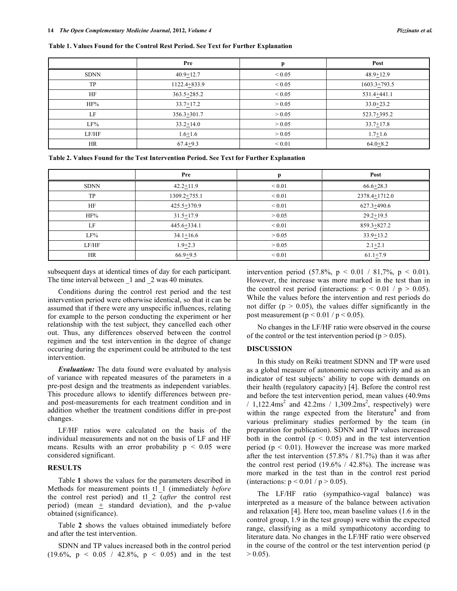|             | Pre             | n           | Post           |
|-------------|-----------------|-------------|----------------|
| <b>SDNN</b> | $40.9 + 12.7$   | ${}_{0.05}$ | $48.9 + 12.9$  |
| TP          | 1122.4+833.9    | ${}_{0.05}$ | $1603.3+793.5$ |
| HF          | $363.5 + 285.2$ | ${}_{0.05}$ | 531.4+441.1    |
| HF%         | $33.7 + 17.2$   | > 0.05      | $33.0 + 23.2$  |
| LF          | 356.3+301.7     | > 0.05      | 523.7+395.2    |
| LF%         | $33.2 + 14.0$   | > 0.05      | $33.7 + 17.8$  |
| LF/HF       | $1.6 + 1.6$     | > 0.05      | $1.7 + 1.6$    |
| HR          | $67.4+9.3$      | ${}_{0.01}$ | $64.0 + 8.2$   |

**Table 1. Values Found for the Control Rest Period. See Text for Further Explanation**

**Table 2. Values Found for the Test Intervention Period. See Text for Further Explanation**

|             | Pre           |             | Post          |
|-------------|---------------|-------------|---------------|
| <b>SDNN</b> | $42.2 + 11.9$ | ${}_{0.01}$ | $66.6 + 28.3$ |
| TP          | 1309.2+755.1  | ${}_{0.01}$ | 2378.4+1712.0 |
| HF          | 425.5+370.9   | ${}_{0.01}$ | 627.3+490.6   |
| HF%         | $31.5 + 17.9$ | > 0.05      | $29.2 + 19.5$ |
| LF          | 445.6+334.1   | ${}_{0.01}$ | 859.3+827.2   |
| LF%         | $34.1 + 16.6$ | > 0.05      | $33.9 + 13.2$ |
| LF/HF       | $1.9 + 2.3$   | > 0.05      | $2.1 + 2.1$   |
| HR          | $66.9 + 9.5$  | ${}_{0.01}$ | $61.1+7.9$    |

subsequent days at identical times of day for each participant. The time interval between 1 and 2 was 40 minutes.

Conditions during the control rest period and the test intervention period were otherwise identical, so that it can be assumed that if there were any unspecific influences, relating for example to the person conducting the experiment or her relationship with the test subject, they cancelled each other out. Thus, any differences observed between the control regimen and the test intervention in the degree of change occuring during the experiment could be attributed to the test intervention.

*Evaluation:* The data found were evaluated by analysis of variance with repeated measures of the parameters in a pre-post design and the treatments as independent variables. This procedure allows to identify differences between preand post-measurements for each treatment condition and in addition whether the treatment conditions differ in pre-post changes.

LF/HF ratios were calculated on the basis of the individual measurements and not on the basis of LF and HF means. Results with an error probability  $p < 0.05$  were considered significant.

# **RESULTS**

Table **1** shows the values for the parameters described in Methods for measurement points t1\_1 (immediately *before* the control rest period) and t1\_2 (*after* the control rest period) (mean  $\pm$  standard deviation), and the p-value obtained (significance).

Table **2** shows the values obtained immediately before and after the test intervention.

SDNN and TP values increased both in the control period (19.6%,  $p \le 0.05 / 42.8\%$ ,  $p \le 0.05$ ) and in the test intervention period  $(57.8\% \text{, p} < 0.01 / 81.7\% \text{, p} < 0.01)$ . However, the increase was more marked in the test than in the control rest period (interactions:  $p \le 0.01 / p \ge 0.05$ ). While the values before the intervention and rest periods do not differ ( $p > 0.05$ ), the values differ significantly in the post measurement ( $p < 0.01 / p < 0.05$ ).

No changes in the LF/HF ratio were observed in the course of the control or the test intervention period ( $p > 0.05$ ).

#### **DISCUSSION**

In this study on Reiki treatment SDNN and TP were used as a global measure of autonomic nervous activity and as an indicator of test subjects' ability to cope with demands on their health (regulatory capacity) [4]. Before the control rest and before the test intervention period, mean values (40.9ms /  $1,122.4 \text{ms}^2$  and  $42.2 \text{ms}$  /  $1,309.2 \text{ms}^2$ , respectively) were within the range expected from the literature<sup>4</sup> and from various preliminary studies performed by the team (in preparation for publication). SDNN and TP values increased both in the control ( $p < 0.05$ ) and in the test intervention period ( $p < 0.01$ ). However the increase was more marked after the test intervention (57.8% / 81.7%) than it was after the control rest period  $(19.6\% / 42.8\%)$ . The increase was more marked in the test than in the control rest period (interactions:  $p < 0.01 / p > 0.05$ ).

The LF/HF ratio (sympathico-vagal balance) was interpreted as a measure of the balance between activation and relaxation [4]. Here too, mean baseline values (1.6 in the control group, 1.9 in the test group) were within the expected range, classifying as a mild sympathicotony according to literature data. No changes in the LF/HF ratio were observed in the course of the control or the test intervention period (p  $> 0.05$ ).